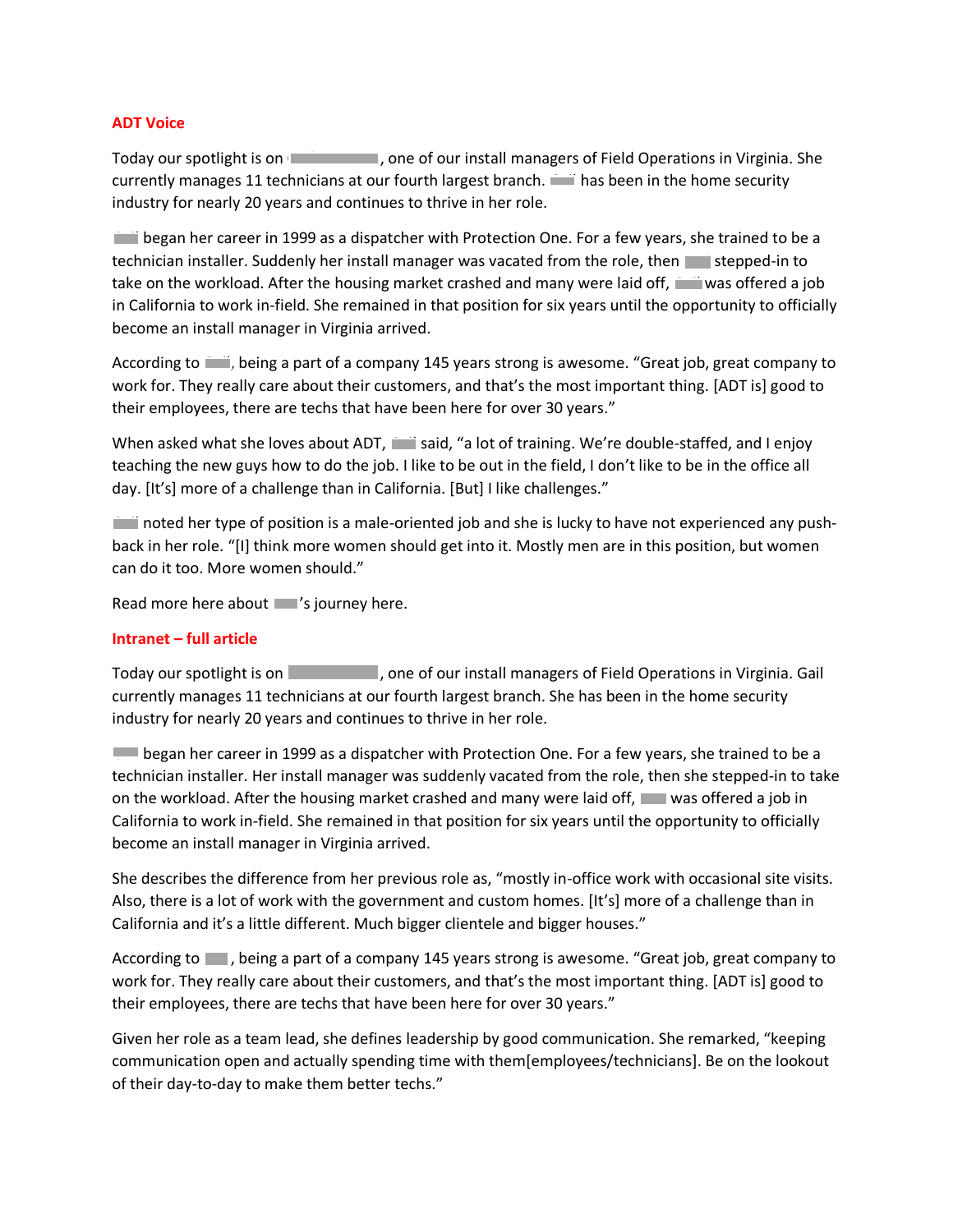## **ADT Voice**

Today our spotlight is on Gail Torrance, one of our install managers of Field Operations in Virginia. She currently manages 11 technicians at our fourth largest branch. Thas been in the home security industry for nearly 20 years and continues to thrive in her role.

Gail began her career in 1999 as a dispatcher with Protection One. For a few years, she trained to be a technician installer. Suddenly her install manager was vacated from the role, then stepped-in to take on the workload. After the housing market crashed and many were laid off, wwas offered a job in California to work in-field. She remained in that position for six years until the opportunity to officially become an install manager in Virginia arrived.

According to  $\Box$ , being a part of a company 145 years strong is awesome. "Great job, great company to work for. They really care about their customers, and that's the most important thing. [ADT is] good to their employees, there are techs that have been here for over 30 years."

When asked what she loves about ADT, said, "a lot of training. We're double-staffed, and I enjoy teaching the new guys how to do the job. I like to be out in the field, I don't like to be in the office all day. [It's] more of a challenge than in California. [But] I like challenges."

Gail noted her type of position is a male-oriented job and she is lucky to have not experienced any pushback in her role. "[I] think more women should get into it. Mostly men are in this position, but women can do it too. More women should."

Read more here about  $\Box$ 's journey here.

# **Intranet – full article**

Today our spotlight is on Gail Torrance, one of our install managers of Field Operations in Virginia. Gail currently manages 11 technicians at our fourth largest branch. She has been in the home security industry for nearly 20 years and continues to thrive in her role.

Gail began her career in 1999 as a dispatcher with Protection One. For a few years, she trained to be a technician installer. Her install manager was suddenly vacated from the role, then she stepped-in to take on the workload. After the housing market crashed and many were laid off, words offered a job in California to work in-field. She remained in that position for six years until the opportunity to officially become an install manager in Virginia arrived.

She describes the difference from her previous role as, "mostly in-office work with occasional site visits. Also, there is a lot of work with the government and custom homes. [It's] more of a challenge than in California and it's a little different. Much bigger clientele and bigger houses."

According to  $\Box$ , being a part of a company 145 years strong is awesome. "Great job, great company to work for. They really care about their customers, and that's the most important thing. [ADT is] good to their employees, there are techs that have been here for over 30 years."

Given her role as a team lead, she defines leadership by good communication. She remarked, "keeping communication open and actually spending time with them[employees/technicians]. Be on the lookout of their day-to-day to make them better techs."